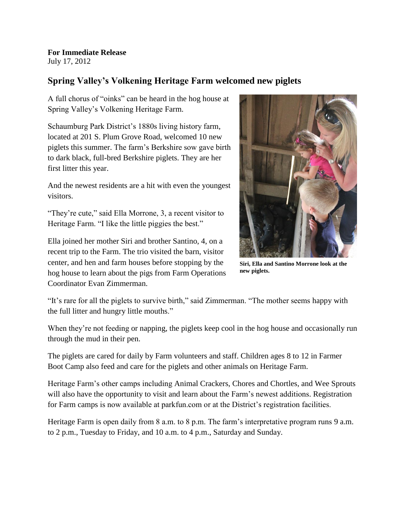**For Immediate Release** July 17, 2012

## **Spring Valley's Volkening Heritage Farm welcomed new piglets**

A full chorus of "oinks" can be heard in the hog house at Spring Valley's Volkening Heritage Farm.

Schaumburg Park District's 1880s living history farm, located at 201 S. Plum Grove Road, welcomed 10 new piglets this summer. The farm's Berkshire sow gave birth to dark black, full-bred Berkshire piglets. They are her first litter this year.

And the newest residents are a hit with even the youngest visitors.

"They're cute," said Ella Morrone, 3, a recent visitor to Heritage Farm. "I like the little piggies the best."

Ella joined her mother Siri and brother Santino, 4, on a recent trip to the Farm. The trio visited the barn, visitor center, and hen and farm houses before stopping by the hog house to learn about the pigs from Farm Operations Coordinator Evan Zimmerman.



**Siri, Ella and Santino Morrone look at the new piglets.**

"It's rare for all the piglets to survive birth," said Zimmerman. "The mother seems happy with the full litter and hungry little mouths."

When they're not feeding or napping, the piglets keep cool in the hog house and occasionally run through the mud in their pen.

The piglets are cared for daily by Farm volunteers and staff. Children ages 8 to 12 in Farmer Boot Camp also feed and care for the piglets and other animals on Heritage Farm.

Heritage Farm's other camps including Animal Crackers, Chores and Chortles, and Wee Sprouts will also have the opportunity to visit and learn about the Farm's newest additions. Registration for Farm camps is now available at parkfun.com or at the District's registration facilities.

Heritage Farm is open daily from 8 a.m. to 8 p.m. The farm's interpretative program runs 9 a.m. to 2 p.m., Tuesday to Friday, and 10 a.m. to 4 p.m., Saturday and Sunday.